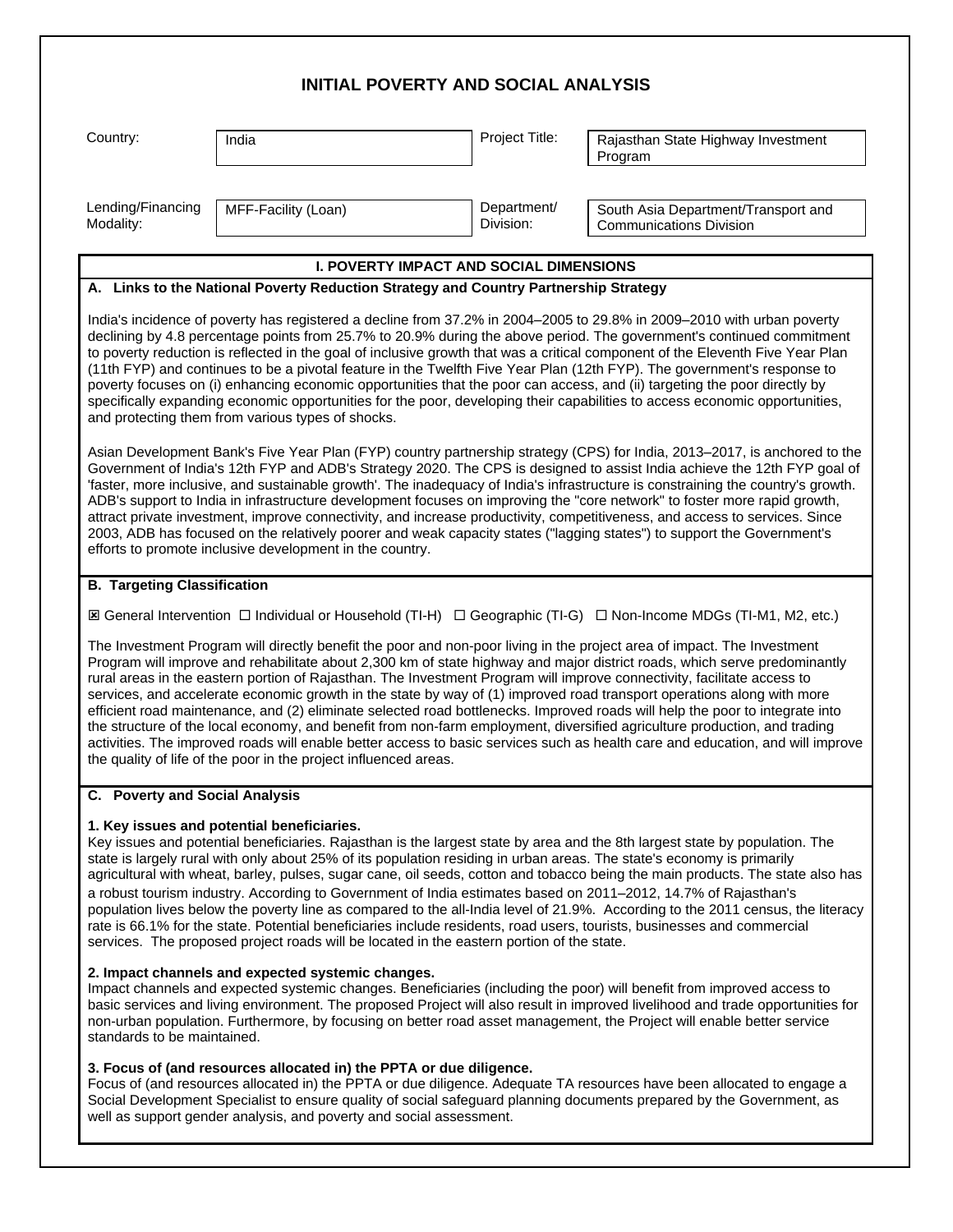| <b>INITIAL POVERTY AND SOCIAL ANALYSIS</b>                                                                                                                                                                                                                                                                                                                                                                                                                                                                                                                                                                                                                                                                                                                                                                                                                                                                                                                                   |                                                                                                                                                                                                                                                                                                           |                          |                                                                                                                                                                                                                                                                                                                                                                                                                                                                                                                  |  |
|------------------------------------------------------------------------------------------------------------------------------------------------------------------------------------------------------------------------------------------------------------------------------------------------------------------------------------------------------------------------------------------------------------------------------------------------------------------------------------------------------------------------------------------------------------------------------------------------------------------------------------------------------------------------------------------------------------------------------------------------------------------------------------------------------------------------------------------------------------------------------------------------------------------------------------------------------------------------------|-----------------------------------------------------------------------------------------------------------------------------------------------------------------------------------------------------------------------------------------------------------------------------------------------------------|--------------------------|------------------------------------------------------------------------------------------------------------------------------------------------------------------------------------------------------------------------------------------------------------------------------------------------------------------------------------------------------------------------------------------------------------------------------------------------------------------------------------------------------------------|--|
| Country:                                                                                                                                                                                                                                                                                                                                                                                                                                                                                                                                                                                                                                                                                                                                                                                                                                                                                                                                                                     | India                                                                                                                                                                                                                                                                                                     | Project Title:           | Rajasthan State Highway Investment<br>Program                                                                                                                                                                                                                                                                                                                                                                                                                                                                    |  |
| Lending/Financing<br>Modality:                                                                                                                                                                                                                                                                                                                                                                                                                                                                                                                                                                                                                                                                                                                                                                                                                                                                                                                                               | MFF-Facility (Loan)                                                                                                                                                                                                                                                                                       | Department/<br>Division: | South Asia Department/Transport and<br><b>Communications Division</b>                                                                                                                                                                                                                                                                                                                                                                                                                                            |  |
| <b>I. POVERTY IMPACT AND SOCIAL DIMENSIONS</b>                                                                                                                                                                                                                                                                                                                                                                                                                                                                                                                                                                                                                                                                                                                                                                                                                                                                                                                               |                                                                                                                                                                                                                                                                                                           |                          |                                                                                                                                                                                                                                                                                                                                                                                                                                                                                                                  |  |
| A. Links to the National Poverty Reduction Strategy and Country Partnership Strategy                                                                                                                                                                                                                                                                                                                                                                                                                                                                                                                                                                                                                                                                                                                                                                                                                                                                                         |                                                                                                                                                                                                                                                                                                           |                          |                                                                                                                                                                                                                                                                                                                                                                                                                                                                                                                  |  |
|                                                                                                                                                                                                                                                                                                                                                                                                                                                                                                                                                                                                                                                                                                                                                                                                                                                                                                                                                                              | (11th FYP) and continues to be a pivotal feature in the Twelfth Five Year Plan (12th FYP). The government's response to<br>poverty focuses on (i) enhancing economic opportunities that the poor can access, and (ii) targeting the poor directly by<br>and protecting them from various types of shocks. |                          | India's incidence of poverty has registered a decline from 37.2% in 2004–2005 to 29.8% in 2009–2010 with urban poverty<br>declining by 4.8 percentage points from 25.7% to 20.9% during the above period. The government's continued commitment<br>to poverty reduction is reflected in the goal of inclusive growth that was a critical component of the Eleventh Five Year Plan<br>specifically expanding economic opportunities for the poor, developing their capabilities to access economic opportunities, |  |
| Asian Development Bank's Five Year Plan (FYP) country partnership strategy (CPS) for India, 2013–2017, is anchored to the<br>Government of India's 12th FYP and ADB's Strategy 2020. The CPS is designed to assist India achieve the 12th FYP goal of<br>'faster, more inclusive, and sustainable growth'. The inadequacy of India's infrastructure is constraining the country's growth.<br>ADB's support to India in infrastructure development focuses on improving the "core network" to foster more rapid growth,<br>attract private investment, improve connectivity, and increase productivity, competitiveness, and access to services. Since<br>2003, ADB has focused on the relatively poorer and weak capacity states ("lagging states") to support the Government's<br>efforts to promote inclusive development in the country.                                                                                                                                  |                                                                                                                                                                                                                                                                                                           |                          |                                                                                                                                                                                                                                                                                                                                                                                                                                                                                                                  |  |
| <b>B. Targeting Classification</b>                                                                                                                                                                                                                                                                                                                                                                                                                                                                                                                                                                                                                                                                                                                                                                                                                                                                                                                                           |                                                                                                                                                                                                                                                                                                           |                          |                                                                                                                                                                                                                                                                                                                                                                                                                                                                                                                  |  |
| I General Intervention □ Individual or Household (TI-H) □ Geographic (TI-G) □ Non-Income MDGs (TI-M1, M2, etc.)                                                                                                                                                                                                                                                                                                                                                                                                                                                                                                                                                                                                                                                                                                                                                                                                                                                              |                                                                                                                                                                                                                                                                                                           |                          |                                                                                                                                                                                                                                                                                                                                                                                                                                                                                                                  |  |
| The Investment Program will directly benefit the poor and non-poor living in the project area of impact. The Investment<br>Program will improve and rehabilitate about 2,300 km of state highway and major district roads, which serve predominantly<br>rural areas in the eastern portion of Rajasthan. The Investment Program will improve connectivity, facilitate access to<br>services, and accelerate economic growth in the state by way of (1) improved road transport operations along with more<br>efficient road maintenance, and (2) eliminate selected road bottlenecks. Improved roads will help the poor to integrate into<br>the structure of the local economy, and benefit from non-farm employment, diversified agriculture production, and trading<br>activities. The improved roads will enable better access to basic services such as health care and education, and will improve<br>the quality of life of the poor in the project influenced areas. |                                                                                                                                                                                                                                                                                                           |                          |                                                                                                                                                                                                                                                                                                                                                                                                                                                                                                                  |  |
| C. Poverty and Social Analysis                                                                                                                                                                                                                                                                                                                                                                                                                                                                                                                                                                                                                                                                                                                                                                                                                                                                                                                                               |                                                                                                                                                                                                                                                                                                           |                          |                                                                                                                                                                                                                                                                                                                                                                                                                                                                                                                  |  |
| 1. Key issues and potential beneficiaries.<br>Key issues and potential beneficiaries. Rajasthan is the largest state by area and the 8th largest state by population. The<br>state is largely rural with only about 25% of its population residing in urban areas. The state's economy is primarily<br>agricultural with wheat, barley, pulses, sugar cane, oil seeds, cotton and tobacco being the main products. The state also has<br>a robust tourism industry. According to Government of India estimates based on 2011-2012, 14.7% of Rajasthan's<br>population lives below the poverty line as compared to the all-India level of 21.9%. According to the 2011 census, the literacy<br>rate is 66.1% for the state. Potential beneficiaries include residents, road users, tourists, businesses and commercial<br>services. The proposed project roads will be located in the eastern portion of the state.                                                           |                                                                                                                                                                                                                                                                                                           |                          |                                                                                                                                                                                                                                                                                                                                                                                                                                                                                                                  |  |
| 2. Impact channels and expected systemic changes.<br>Impact channels and expected systemic changes. Beneficiaries (including the poor) will benefit from improved access to<br>basic services and living environment. The proposed Project will also result in improved livelihood and trade opportunities for<br>non-urban population. Furthermore, by focusing on better road asset management, the Project will enable better service<br>standards to be maintained.                                                                                                                                                                                                                                                                                                                                                                                                                                                                                                      |                                                                                                                                                                                                                                                                                                           |                          |                                                                                                                                                                                                                                                                                                                                                                                                                                                                                                                  |  |
| 3. Focus of (and resources allocated in) the PPTA or due diligence.<br>Focus of (and resources allocated in) the PPTA or due diligence. Adequate TA resources have been allocated to engage a<br>Social Development Specialist to ensure quality of social safeguard planning documents prepared by the Government, as<br>well as support gender analysis, and poverty and social assessment.                                                                                                                                                                                                                                                                                                                                                                                                                                                                                                                                                                                |                                                                                                                                                                                                                                                                                                           |                          |                                                                                                                                                                                                                                                                                                                                                                                                                                                                                                                  |  |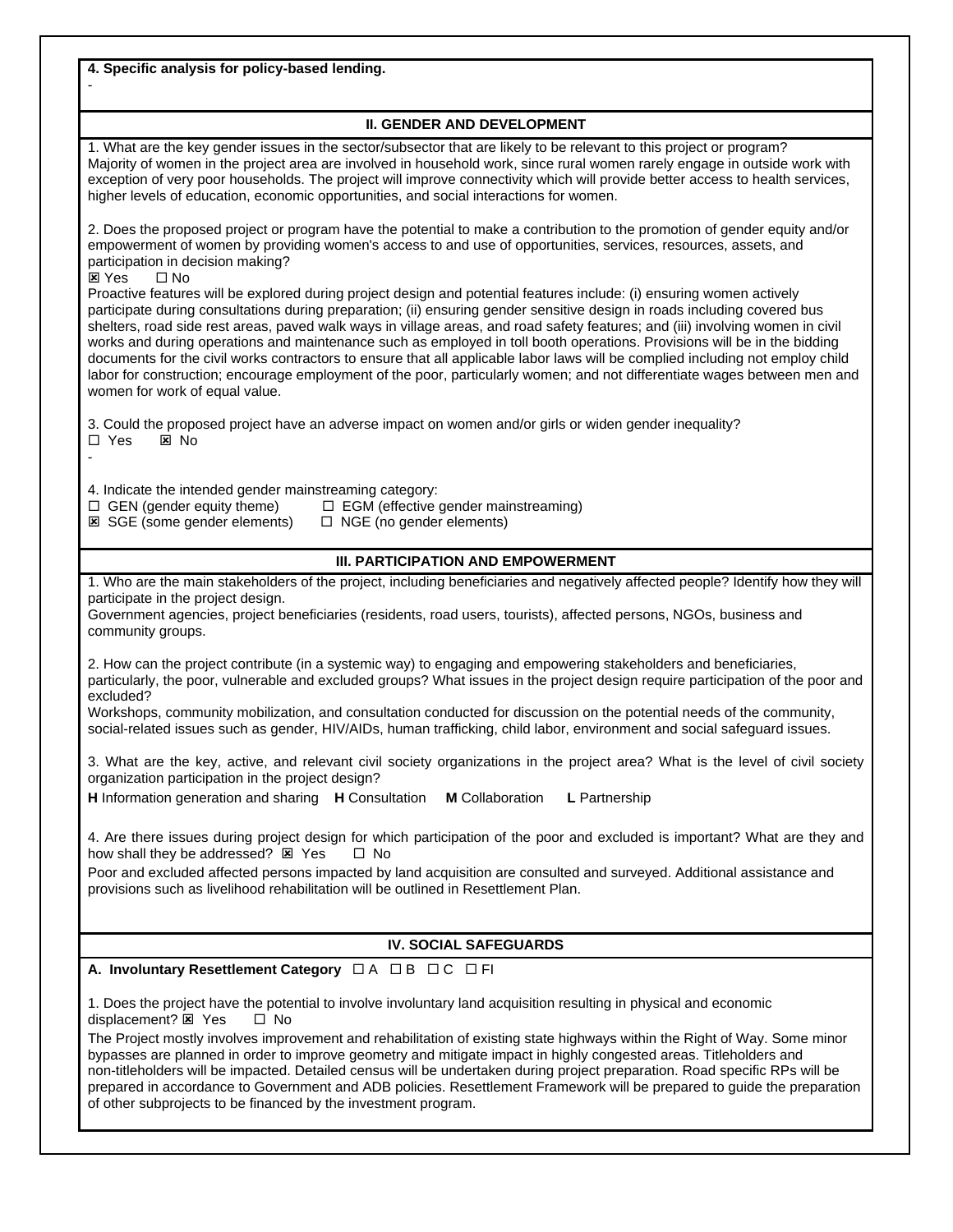**4. Specific analysis for policy-based lending.** - **II. GENDER AND DEVELOPMENT** 1. What are the key gender issues in the sector/subsector that are likely to be relevant to this project or program? Majority of women in the project area are involved in household work, since rural women rarely engage in outside work with exception of very poor households. The project will improve connectivity which will provide better access to health services, higher levels of education, economic opportunities, and social interactions for women. 2. Does the proposed project or program have the potential to make a contribution to the promotion of gender equity and/or empowerment of women by providing women's access to and use of opportunities, services, resources, assets, and participation in decision making? **⊠** Yes □ No Proactive features will be explored during project design and potential features include: (i) ensuring women actively participate during consultations during preparation; (ii) ensuring gender sensitive design in roads including covered bus shelters, road side rest areas, paved walk ways in village areas, and road safety features; and (iii) involving women in civil works and during operations and maintenance such as employed in toll booth operations. Provisions will be in the bidding documents for the civil works contractors to ensure that all applicable labor laws will be complied including not employ child labor for construction; encourage employment of the poor, particularly women; and not differentiate wages between men and women for work of equal value. 3. Could the proposed project have an adverse impact on women and/or girls or widen gender inequality?  $\Box$  Yes  $\boxtimes$  No - 4. Indicate the intended gender mainstreaming category:  $\Box$  GEN (gender equity theme)  $\Box$  EGM (effective gender mainstreaming)  $\boxtimes$  SGE (some gender elements)  $\Box$  NGE (no gender elements) **III. PARTICIPATION AND EMPOWERMENT** 1. Who are the main stakeholders of the project, including beneficiaries and negatively affected people? Identify how they will participate in the project design. Government agencies, project beneficiaries (residents, road users, tourists), affected persons, NGOs, business and community groups. 2. How can the project contribute (in a systemic way) to engaging and empowering stakeholders and beneficiaries, particularly, the poor, vulnerable and excluded groups? What issues in the project design require participation of the poor and excluded? Workshops, community mobilization, and consultation conducted for discussion on the potential needs of the community, social-related issues such as gender, HIV/AIDs, human trafficking, child labor, environment and social safeguard issues. 3. What are the key, active, and relevant civil society organizations in the project area? What is the level of civil society organization participation in the project design? **H** Information generation and sharing **H** Consultation **M** Collaboration **L** Partnership 4. Are there issues during project design for which participation of the poor and excluded is important? What are they and how shall they be addressed?  $\boxtimes$  Yes  $\Box$  No Poor and excluded affected persons impacted by land acquisition are consulted and surveyed. Additional assistance and provisions such as livelihood rehabilitation will be outlined in Resettlement Plan. **IV. SOCIAL SAFEGUARDS A. Involuntary Resettlement Category** □ A □ B □ C □ FI 1. Does the project have the potential to involve involuntary land acquisition resulting in physical and economic displacement?  $\boxtimes$  Yes  $\Box$  No The Project mostly involves improvement and rehabilitation of existing state highways within the Right of Way. Some minor bypasses are planned in order to improve geometry and mitigate impact in highly congested areas. Titleholders and non-titleholders will be impacted. Detailed census will be undertaken during project preparation. Road specific RPs will be prepared in accordance to Government and ADB policies. Resettlement Framework will be prepared to guide the preparation of other subprojects to be financed by the investment program.